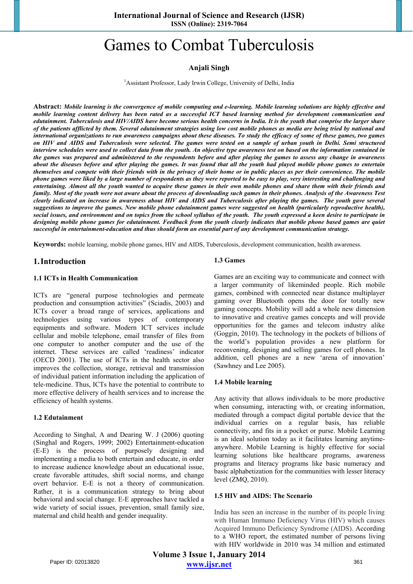# Games to Combat Tuberculosis

# **Anjali Singh**

<sup>1</sup> Assistant Professor, Lady Irwin College, University of Delhi, India

**Abstract:** *Mobile learning is the convergence of mobile computing and e-learning. Mobile learning solutions are highly effective and mobile learning content delivery has been rated as a successful ICT based learning method for development communication and edutainment. Tuberculosis and HIV/AIDS have become serious health concerns in India. It is the youth that comprise the larger share of the patients afflicted by them. Several edutainment strategies using low cost mobile phones as media are being tried by national and international organizations to run awareness campaigns about these diseases. To study the efficacy of some of these games, two games on HIV and AIDS and Tuberculosis were selected. The games were tested on a sample of urban youth in Delhi. Semi structured interview schedules were used to collect data from the youth. An objective type awareness test on based on the information contained in the games was prepared and administered to the respondents before and after playing the games to assess any change in awareness about the diseases before and after playing the games. It was found that all the youth had played mobile phone games to entertain themselves and compete with their friends with in the privacy of their home or in public places as per their convenience. The mobile phone games were liked by a large number of respondents as they were reported to be easy to play, very interesting and challenging and entertaining. Almost all the youth wanted to acquire these games in their own mobile phones and share them with their friends and family. Most of the youth were not aware about the process of downloading such games in their phones. Analysis of the Awareness Test clearly indicated an increase in awareness about HIV and AIDS and Tuberculosis after playing the games. The youth gave several suggestions to improve the games. New mobile phone edutainment games were suggested on health (particularly reproductive health), social issues, and environment and on topics from the school syllabus of the youth. The youth expressed a keen desire to participate in designing mobile phone games for edutainment. Feedback from the youth clearly indicates that mobile phone based games are quiet successful in entertainment-education and thus should form an essential part of any development communication strategy.* 

**Keywords:** mobile learning, mobile phone games, HIV and AIDS, Tuberculosis, development communication, health awareness.

### **1.Introduction**

### **1.1 ICTs in Health Communication**

ICTs are "general purpose technologies and permeate production and consumption activities" (Sciadis, 2003) and ICTs cover a broad range of services, applications and technologies using various types of contemporary equipments and software. Modern ICT services include cellular and mobile telephone, email transfer of files from one computer to another computer and the use of the internet. These services are called 'readiness' indicator (OECD 2001). The use of ICTs in the health sector also improves the collection, storage, retrieval and transmission of individual patient information including the application of tele-medicine. Thus, ICTs have the potential to contribute to more effective delivery of health services and to increase the efficiency of health systems.

### **1.2 Edutainment**

According to Singhal, A and Dearing W. J (2006) quoting (Singhal and Rogers, 1999; 2002) Entertainment-education (E-E) is the process of purposely designing and implementing a media to both entertain and educate, in order to increase audience knowledge about an educational issue, create favorable attitudes, shift social norms, and change overt behavior. E-E is not a theory of communication. Rather, it is a communication strategy to bring about behavioral and social change. E-E approaches have tackled a wide variety of social issues, prevention, small family size, maternal and child health and gender inequality.

### **1.3 Games**

Games are an exciting way to communicate and connect with a larger community of likeminded people. Rich mobile games, combined with connected near distance multiplayer gaming over Bluetooth opens the door for totally new gaming concepts. Mobility will add a whole new dimension to innovative and creative games concepts and will provide opportunities for the games and telecom industry alike (Goggin, 2010). The technology in the pockets of billions of the world's population provides a new platform for reconvening, designing and selling games for cell phones. In addition, cell phones are a new 'arena of innovation' (Sawhney and Lee 2005).

### **1.4 Mobile learning**

Any activity that allows individuals to be more productive when consuming, interacting with, or creating information, mediated through a compact digital portable device that the individual carries on a regular basis, has reliable connectivity, and fits in a pocket or purse. Mobile Learning is an ideal solution today as it facilitates learning anytimeanywhere. Mobile Learning is highly effective for social learning solutions like healthcare programs, awareness programs and literacy programs like basic numeracy and basic alphabetization for the communities with lesser literacy level (ZMQ, 2010).

### **1.5 HIV and AIDS: The Scenario**

India has seen an increase in the number of its people living with Human Immuno Deficiency Virus (HIV) which causes Acquired Immuno Deficiency Syndrome (AIDS). According to a WHO report, the estimated number of persons living with HIV worldwide in 2010 was 34 million and estimated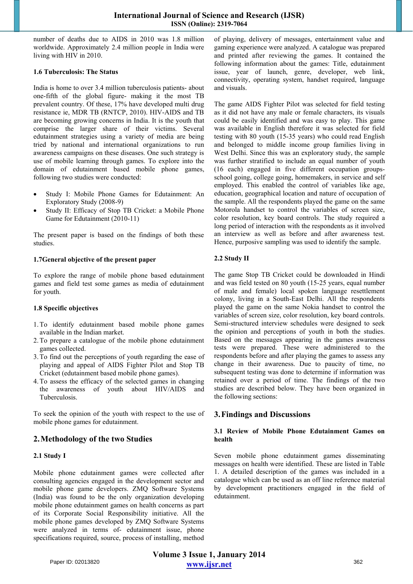number of deaths due to AIDS in 2010 was 1.8 million worldwide. Approximately 2.4 million people in India were living with HIV in 2010.

### **1.6 Tuberculosis: The Status**

India is home to over 3.4 million tuberculosis patients- about one-fifth of the global figure- making it the most TB prevalent country. Of these, 17% have developed multi drug resistance ie, MDR TB (RNTCP, 2010). HIV-AIDS and TB are becoming growing concerns in India. It is the youth that comprise the larger share of their victims. Several edutainment strategies using a variety of media are being tried by national and international organizations to run awareness campaigns on these diseases. One such strategy is use of mobile learning through games. To explore into the domain of edutainment based mobile phone games, following two studies were conducted:

- Study I: Mobile Phone Games for Edutainment: An Exploratory Study (2008-9)
- Study II: Efficacy of Stop TB Cricket: a Mobile Phone Game for Edutainment (2010-11)

The present paper is based on the findings of both these studies.

### **1.7General objective of the present paper**

To explore the range of mobile phone based edutainment games and field test some games as media of edutainment for youth.

### **1.8 Specific objectives**

- 1.To identify edutainment based mobile phone games available in the Indian market.
- 2.To prepare a catalogue of the mobile phone edutainment games collected.
- 3.To find out the perceptions of youth regarding the ease of playing and appeal of AIDS Fighter Pilot and Stop TB Cricket (edutainment based mobile phone games).
- 4.To assess the efficacy of the selected games in changing the awareness of youth about HIV/AIDS and Tuberculosis.

To seek the opinion of the youth with respect to the use of mobile phone games for edutainment.

# **2.Methodology of the two Studies**

### **2.1 Study I**

Mobile phone edutainment games were collected after consulting agencies engaged in the development sector and mobile phone game developers. ZMQ Software Systems (India) was found to be the only organization developing mobile phone edutainment games on health concerns as part of its Corporate Social Responsibility initiative. All the mobile phone games developed by ZMQ Software Systems were analyzed in terms of- edutainment issue, phone specifications required, source, process of installing, method of playing, delivery of messages, entertainment value and gaming experience were analyzed. A catalogue was prepared and printed after reviewing the games. It contained the following information about the games: Title, edutainment issue, year of launch, genre, developer, web link, connectivity, operating system, handset required, language and visuals.

The game AIDS Fighter Pilot was selected for field testing as it did not have any male or female characters, its visuals could be easily identified and was easy to play. This game was available in English therefore it was selected for field testing with 80 youth (15-35 years) who could read English and belonged to middle income group families living in West Delhi. Since this was an exploratory study, the sample was further stratified to include an equal number of youth (16 each) engaged in five different occupation groupsschool going, college going, homemakers, in service and self employed. This enabled the control of variables like age, education, geographical location and nature of occupation of the sample. All the respondents played the game on the same Motorola handset to control the variables of screen size, color resolution, key board controls. The study required a long period of interaction with the respondents as it involved an interview as well as before and after awareness test. Hence, purposive sampling was used to identify the sample.

## **2.2 Study II**

The game Stop TB Cricket could be downloaded in Hindi and was field tested on 80 youth (15-25 years, equal number of male and female) local spoken language resettlement colony, living in a South-East Delhi. All the respondents played the game on the same Nokia handset to control the variables of screen size, color resolution, key board controls. Semi-structured interview schedules were designed to seek the opinion and perceptions of youth in both the studies. Based on the messages appearing in the games awareness tests were prepared. These were administered to the respondents before and after playing the games to assess any change in their awareness. Due to paucity of time, no subsequent testing was done to determine if information was retained over a period of time. The findings of the two studies are described below. They have been organized in the following sections:

# **3.Findings and Discussions**

### **3.1 Review of Mobile Phone Edutainment Games on health**

Seven mobile phone edutainment games disseminating messages on health were identified. These are listed in Table 1. A detailed description of the games was included in a catalogue which can be used as an off line reference material by development practitioners engaged in the field of edutainment.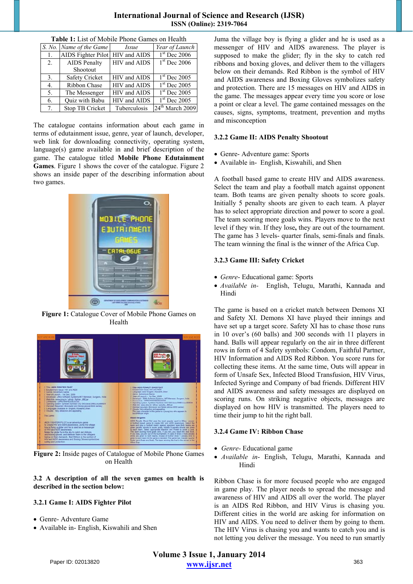# **International Journal of Science and Research (IJSR) ISSN (Online): 2319-7064**

| <b>Table 1.</b> List of Mobile I hold Galiles on Health |                                 |              |                             |
|---------------------------------------------------------|---------------------------------|--------------|-----------------------------|
|                                                         | S. No. Name of the Game         | <i>Issue</i> | Year of Launch              |
| 1.                                                      | AIDS Fighter Pilot HIV and AIDS |              | $1st$ Dec 2006              |
| 2.                                                      | <b>AIDS</b> Penalty             | HIV and AIDS | $1st$ Dec 2006              |
|                                                         | Shootout                        |              |                             |
| 3.                                                      | <b>Safety Cricket</b>           | HIV and AIDS | $1st$ Dec 2005              |
| 4.                                                      | <b>Ribbon Chase</b>             | HIV and AIDS | $1st$ Dec 2005              |
| 5.                                                      | The Messenger                   | HIV and AIDS | $1st$ Dec 2005              |
| 6.                                                      | Quiz with Babu                  | HIV and AIDS | $1st$ Dec 2005              |
| 7 <sub>1</sub>                                          | Stop TB Cricket                 | Tuberculosis | 24 <sup>th</sup> March 2009 |

**Table 1:** List of Mobile Phone Games on Health

The catalogue contains information about each game in terms of edutainment issue, genre, year of launch, developer, web link for downloading connectivity, operating system, language(s) game available in and brief description of the game. The catalogue titled **Mobile Phone Edutainment Games**. Figure 1 shows the cover of the catalogue. Figure 2 shows an inside paper of the describing information about two games.



**Figure 1:** Catalogue Cover of Mobile Phone Games on Health



**Figure 2:** Inside pages of Catalogue of Mobile Phone Games on Health

## **3.2 A description of all the seven games on health is described in the section below:**

# **3.2.1 Game I: AIDS Fighter Pilot**

- Genre- Adventure Game
- Available in- English, Kiswahili and Shen

Juma the village boy is flying a glider and he is used as a messenger of HIV and AIDS awareness. The player is supposed to make the glider; fly in the sky to catch red ribbons and boxing gloves, and deliver them to the villagers below on their demands. Red Ribbon is the symbol of HIV and AIDS awareness and Boxing Gloves symbolizes safety and protection. There are 15 messages on HIV and AIDS in the game. The messages appear every time you score or lose a point or clear a level. The game contained messages on the causes, signs, symptoms, treatment, prevention and myths and misconception

# **3.2.2 Game II: AIDS Penalty Shootout**

- Genre- Adventure game: Sports
- Available in- English, Kiswahili, and Shen

A football based game to create HIV and AIDS awareness. Select the team and play a football match against opponent team. Both teams are given penalty shoots to score goals. Initially 5 penalty shoots are given to each team. A player has to select appropriate direction and power to score a goal. The team scoring more goals wins. Players move to the next level if they win. If they lose**,** they are out of the tournament. The game has 3 levels- quarter finals, semi-finals and finals. The team winning the final is the winner of the Africa Cup.

### **3.2.3 Game III: Safety Cricket**

- *Genre* Educational game: Sports
- *Available in-* English, Telugu, Marathi, Kannada and Hindi

The game is based on a cricket match between Demons XI and Safety XI. Demons XI have played their innings and have set up a target score. Safety XI has to chase those runs in 10 over's (60 balls) and 300 seconds with 11 players in hand. Balls will appear regularly on the air in three different rows in form of 4 Safety symbols: Condom, Faithful Partner, HIV Information and AIDS Red Ribbon. You score runs for collecting these items. At the same time, Outs will appear in form of Unsafe Sex, Infected Blood Transfusion, HIV Virus, Infected Syringe and Company of bad friends. Different HIV and AIDS awareness and safety messages are displayed on scoring runs. On striking negative objects, messages are displayed on how HIV is transmitted. The players need to time their jump to hit the right ball.

### **3.2.4 Game IV: Ribbon Chase**

- *Genre-* Educational game
- *Available in* English, Telugu, Marathi, Kannada and Hindi

Ribbon Chase is for more focused people who are engaged in game play. The player needs to spread the message and awareness of HIV and AIDS all over the world. The player is an AIDS Red Ribbon, and HIV Virus is chasing you. Different cities in the world are asking for information on HIV and AIDS. You need to deliver them by going to them. The HIV Virus is chasing you and wants to catch you and is not letting you deliver the message. You need to run smartly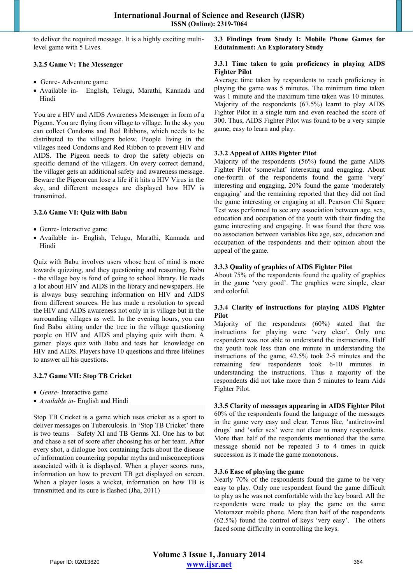to deliver the required message. It is a highly exciting multilevel game with 5 Lives.

### **3.2.5 Game V: The Messenger**

- Genre- Adventure game
- Available in- English, Telugu, Marathi, Kannada and Hindi

You are a HIV and AIDS Awareness Messenger in form of a Pigeon. You are flying from village to village. In the sky you can collect Condoms and Red Ribbons, which needs to be distributed to the villagers below. People living in the villages need Condoms and Red Ribbon to prevent HIV and AIDS. The Pigeon needs to drop the safety objects on specific demand of the villagers. On every correct demand, the villager gets an additional safety and awareness message. Beware the Pigeon can lose a life if it hits a HIV Virus in the sky, and different messages are displayed how HIV is transmitted.

### **3.2.6 Game VI: Quiz with Babu**

- Genre- Interactive game
- Available in- English, Telugu, Marathi, Kannada and Hindi

Quiz with Babu involves users whose bent of mind is more towards quizzing, and they questioning and reasoning. Babu - the village boy is fond of going to school library. He reads a lot about HIV and AIDS in the library and newspapers. He is always busy searching information on HIV and AIDS from different sources. He has made a resolution to spread the HIV and AIDS awareness not only in is village but in the surrounding villages as well. In the evening hours, you can find Babu sitting under the tree in the village questioning people on HIV and AIDS and playing quiz with them. A gamer plays quiz with Babu and tests her knowledge on HIV and AIDS. Players have 10 questions and three lifelines to answer all his questions.

### **3.2.7 Game VII: Stop TB Cricket**

- *Genre-* Interactive game
- *Available in-* English and Hindi

Stop TB Cricket is a game which uses cricket as a sport to deliver messages on Tuberculosis. In 'Stop TB Cricket' there is two teams – Safety XI and TB Germs XI. One has to bat and chase a set of score after choosing his or her team. After every shot, a dialogue box containing facts about the disease of information countering popular myths and misconceptions associated with it is displayed. When a player scores runs, information on how to prevent TB get displayed on screen. When a player loses a wicket, information on how TB is transmitted and its cure is flashed (Jha, 2011)

**3.3 Findings from Study I: Mobile Phone Games for Edutainment: An Exploratory Study** 

### **3.3.1 Time taken to gain proficiency in playing AIDS Fighter Pilot**

Average time taken by respondents to reach proficiency in playing the game was 5 minutes. The minimum time taken was 1 minute and the maximum time taken was 10 minutes. Majority of the respondents (67.5%) learnt to play AIDS Fighter Pilot in a single turn and even reached the score of 300. Thus, AIDS Fighter Pilot was found to be a very simple game, easy to learn and play.

### **3.3.2 Appeal of AIDS Fighter Pilot**

Majority of the respondents (56%) found the game AIDS Fighter Pilot 'somewhat' interesting and engaging. About one-fourth of the respondents found the game 'very' interesting and engaging, 20% found the game 'moderately engaging' and the remaining reported that they did not find the game interesting or engaging at all. Pearson Chi Square Test was performed to see any association between age, sex, education and occupation of the youth with their finding the game interesting and engaging. It was found that there was no association between variables like age, sex, education and occupation of the respondents and their opinion about the appeal of the game.

### **3.3.3 Quality of graphics of AIDS Fighter Pilot**

About 75% of the respondents found the quality of graphics in the game 'very good'. The graphics were simple, clear and colorful.

### **3.3.4 Clarity of instructions for playing AIDS Fighter Pilot**

Majority of the respondents (60%) stated that the instructions for playing were 'very clear'. Only one respondent was not able to understand the instructions. Half the youth took less than one minute in understanding the instructions of the game, 42.5% took 2-5 minutes and the remaining few respondents took 6-10 minutes in understanding the instructions. Thus a majority of the respondents did not take more than 5 minutes to learn Aids Fighter Pilot.

# **3.3.5 Clarity of messages appearing in AIDS Fighter Pilot**

60% of the respondents found the language of the messages in the game very easy and clear. Terms like, 'antiretroviral drugs' and 'safer sex' were not clear to many respondents. More than half of the respondents mentioned that the same message should not be repeated 3 to 4 times in quick succession as it made the game monotonous.

### **3.3.6 Ease of playing the game**

Nearly 70% of the respondents found the game to be very easy to play. Only one respondent found the game difficult to play as he was not comfortable with the key board. All the respondents were made to play the game on the same Motorazer mobile phone. More than half of the respondents (62.5%) found the control of keys 'very easy'. The others faced some difficulty in controlling the keys.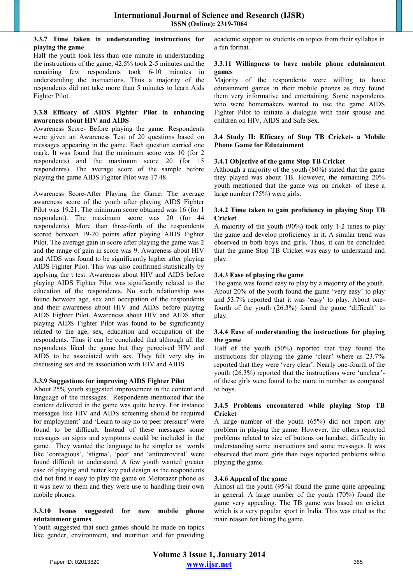### **3.3.7 Time taken in understanding instructions for playing the game**

Half the youth took less than one minute in understanding the instructions of the game, 42.5% took 2-5 minutes and the remaining few respondents took 6-10 minutes in understanding the instructions. Thus a majority of the respondents did not take more than 5 minutes to learn Aids Fighter Pilot.

### **3.3.8 Efficacy of AIDS Fighter Pilot in enhancing awareness about HIV and AIDS**

Awareness Score- Before playing the game: Respondents were given an Awareness Test of 20 questions based on messages appearing in the game. Each question carried one mark. It was found that the minimum score was 10 (for 2) respondents) and the maximum score 20 (for 15 respondents). The average score of the sample before playing the game AIDS Fighter Pilot was 17.48.

Awareness Score-After Playing the Game: The average awareness score of the youth after playing AIDS Fighter Pilot was 19.21. The minimum score obtained was 16 (for 1 respondent). The maximum score was 20 (for 44 respondents). More than three-forth of the respondents scored between 19-20 points after playing AIDS Fighter Pilot. The average gain in score after playing the game was 2 and the range of gain in score was 9. Awareness about HIV and AIDS was found to be significantly higher after playing AIDS Fighter Pilot. This was also confirmed statistically by applying the t test. Awareness about HIV and AIDS before playing AIDS Fighter Pilot was significantly related to the education of the respondents. No such relationship was found between age, sex and occupation of the respondents and their awareness about HIV and AIDS before playing AIDS Fighter Pilot. Awareness about HIV and AIDS after playing AIDS Fighter Pilot was found to be significantly related to the age, sex, education and occupation of the respondents. Thus it can be concluded that although all the respondents liked the game but they perceived HIV and AIDS to be associated with sex. They felt very shy in discussing sex and its association with HIV and AIDS.

### **3.3.9 Suggestions for improving AIDS Fighter Pilot**

About 25% youth suggested improvement in the content and language of the messages. Respondents mentioned that the content delivered in the game was quite heavy. For instance messages like HIV and AIDS screening should be required for employment' and 'Learn to say no to peer pressure' were found to be difficult. Instead of these messages some messages on signs and symptoms could be included in the game. They wanted the language to be simpler as words like 'contagious', 'stigma', 'peer' and 'antiretroviral' were found difficult to understand. A few youth wanted greater ease of playing and better key pad design as the respondents did not find it easy to play the game on Motorazer phone as it was new to them and they were use to handling their own mobile phones.

### **3.3.10 Issues suggested for new mobile phone edutainment games**

Youth suggested that such games should be made on topics like gender, environment, and nutrition and for providing academic support to students on topics from their syllabus in a fun format.

### **3.3.11 Willingness to have mobile phone edutainment games**

Majority of the respondents were willing to have edutainment games in their mobile phones as they found them very informative and entertaining. Some respondents who were homemakers wanted to use the game AIDS Fighter Pilot to initiate a dialogue with their spouse and children on HIV, AIDS and Safe Sex.

### **3.4 Study II: Efficacy of Stop TB Cricket- a Mobile Phone Game for Edutainment**

### **3.4.1 Objective of the game Stop TB Cricket**

Although a majority of the youth (80%) stated that the game they played was about TB. However, the remaining 20% youth mentioned that the game was on cricket- of these a large number (75%) were girls.

### **3.4.2 Time taken to gain proficiency in playing Stop TB Cricket**

A majority of the youth (90%) took only 1-2 times to play the game and develop proficiency in it. A similar trend was observed in both boys and girls. Thus, it can be concluded that the game Stop TB Cricket was easy to understand and play.

### **3.4.3 Ease of playing the game**

The game was found easy to play by a majority of the youth. About 20% of the youth found the game 'very easy' to play and 53.7% reported that it was 'easy' to play. About onefourth of the youth  $(26.3\%)$  found the game 'difficult' to play.

### **3.4.4 Ease of understanding the instructions for playing the game**

Half of the youth (50%) reported that they found the instructions for playing the game 'clear' where as 23.7**%** reported that they were 'very clear'. Nearly one-fourth of the youth (26.3%) reported that the instructions were 'unclear' of these girls were found to be more in number as compared to boys.

### **3.4.5 Problems encountered while playing Stop TB Cricket**

A large number of the youth (65%) did not report any problem in playing the game. However, the others reported problems related to size of buttons on handset, difficulty in understanding some instructions and some messages. It was observed that more girls than boys reported problems while playing the game.

### **3.4.6 Appeal of the game**

Almost all the youth (95%) found the game quite appealing in general. A large number of the youth (70%) found the game very appealing. The TB game was based on cricket which is a very popular sport in India. This was cited as the main reason for liking the game.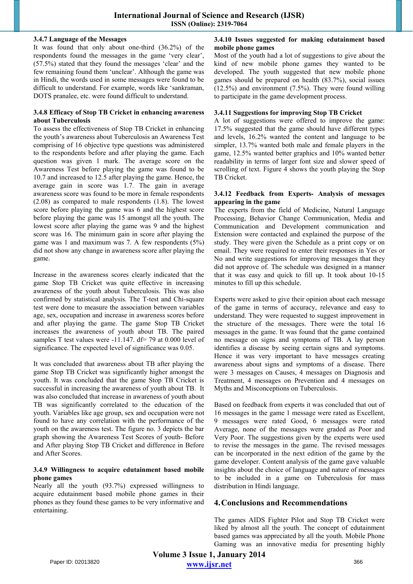### **3.4.7 Language of the Messages**

It was found that only about one-third (36.2%) of the respondents found the messages in the game 'very clear', (57.5%) stated that they found the messages 'clear' and the few remaining found them 'unclear'. Although the game was in Hindi, the words used in some messages were found to be difficult to understand. For example, words like 'sankraman, DOTS pranalee, etc. were found difficult to understand.

### **3.4.8 Efficacy of Stop TB Cricket in enhancing awareness about Tuberculosis**

To assess the effectiveness of Stop TB Cricket in enhancing the youth's awareness about Tuberculosis an Awareness Test comprising of 16 objective type questions was administered to the respondents before and after playing the game. Each question was given 1 mark. The average score on the Awareness Test before playing the game was found to be 10.7 and increased to 12.5 after playing the game. Hence, the average gain in score was 1.7. The gain in average awareness score was found to be more in female respondents (2.08) as compared to male respondents (1.8). The lowest score before playing the game was 6 and the highest score before playing the game was 15 amongst all the youth. The lowest score after playing the game was 9 and the highest score was 16. The minimum gain in score after playing the game was 1 and maximum was 7. A few respondents (5%) did not show any change in awareness score after playing the game.

Increase in the awareness scores clearly indicated that the game Stop TB Cricket was quite effective in increasing awareness of the youth about Tuberculosis. This was also confirmed by statistical analysis. The T-test and Chi-square test were done to measure the association between variables age, sex, occupation and increase in awareness scores before and after playing the game. The game Stop TB Cricket increases the awareness of youth about TB. The paired samples T test values were -11.147. df= 79 at 0.000 level of significance. The expected level of significance was 0.05.

It was concluded that awareness about TB after playing the game Stop TB Cricket was significantly higher amongst the youth. It was concluded that the game Stop TB Cricket is successful in increasing the awareness of youth about TB. It was also concluded that increase in awareness of youth about TB was significantly correlated to the education of the youth. Variables like age group, sex and occupation were not found to have any correlation with the performance of the youth on the awareness test. The figure no. 3 depicts the bar graph showing the Awareness Test Scores of youth- Before and After playing Stop TB Cricket and difference in Before and After Scores.

### **3.4.9 Willingness to acquire edutainment based mobile phone games**

Nearly all the youth (93.7%) expressed willingness to acquire edutainment based mobile phone games in their phones as they found these games to be very informative and entertaining.

### **3.4.10 Issues suggested for making edutainment based mobile phone games**

Most of the youth had a lot of suggestions to give about the kind of new mobile phone games they wanted to be developed. The youth suggested that new mobile phone games should be prepared on health (83.7%), social issues  $(12.5\%)$  and environment  $(7.5\%)$ . They were found willing to participate in the game development process.

### **3.4.11 Suggestions for improving Stop TB Cricket**

A lot of suggestions were offered to improve the game: 17.5% suggested that the game should have different types and levels, 16.2% wanted the content and language to be simpler, 13.7% wanted both male and female players in the game, 12.5% wanted better graphics and 10% wanted better readability in terms of larger font size and slower speed of scrolling of text. Figure 4 shows the youth playing the Stop TB Cricket.

### **3.4.12 Feedback from Experts- Analysis of messages appearing in the game**

The experts from the field of Medicine, Natural Language Processing, Behavior Change Communication, Media and Communication and Development communication and Extension were contacted and explained the purpose of the study. They were given the Schedule as a print copy or on email. They were required to enter their responses in Yes or No and write suggestions for improving messages that they did not approve of. The schedule was designed in a manner that it was easy and quick to fill up. It took about 10-15 minutes to fill up this schedule.

Experts were asked to give their opinion about each message of the game in terms of accuracy, relevance and easy to understand. They were requested to suggest improvement in the structure of the messages. There were the total 16 messages in the game. It was found that the game contained no message on signs and symptoms of TB. A lay person identifies a disease by seeing certain signs and symptoms. Hence it was very important to have messages creating awareness about signs and symptoms of a disease. There were 3 messages on Causes, 4 messages on Diagnosis and Treatment, 4 messages on Prevention and 4 messages on Myths and Misconceptions on Tuberculosis.

Based on feedback from experts it was concluded that out of 16 messages in the game 1 message were rated as Excellent, 9 messages were rated Good, 6 messages were rated Average, none of the messages were graded as Poor and Very Poor. The suggestions given by the experts were used to revise the messages in the game. The revised messages can be incorporated in the next edition of the game by the game developer. Content analysis of the game gave valuable insights about the choice of language and nature of messages to be included in a game on Tuberculosis for mass distribution in Hindi language.

# **4.Conclusions and Recommendations**

The games AIDS Fighter Pilot and Stop TB Cricket were liked by almost all the youth. The concept of edutainment based games was appreciated by all the youth. Mobile Phone Gaming was an innovative media for presenting highly